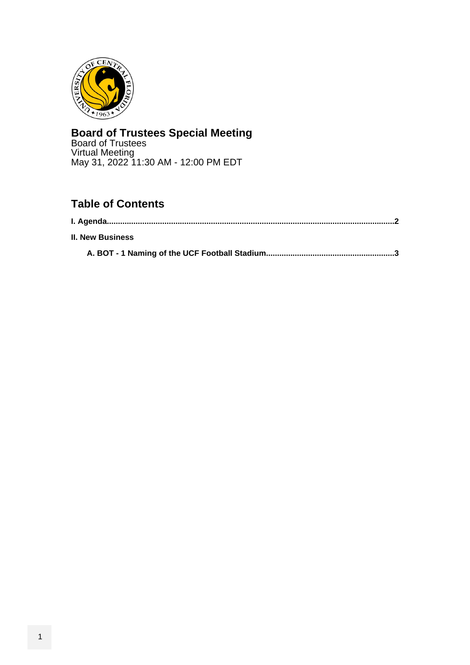<span id="page-0-0"></span>

# **Board of Trustees Special Meeting**

Board of Trustees Virtual Meeting May 31, 2022 11:30 AM - 12:00 PM EDT

# **Table of Contents**

| <b>II. New Business</b> |  |
|-------------------------|--|
|                         |  |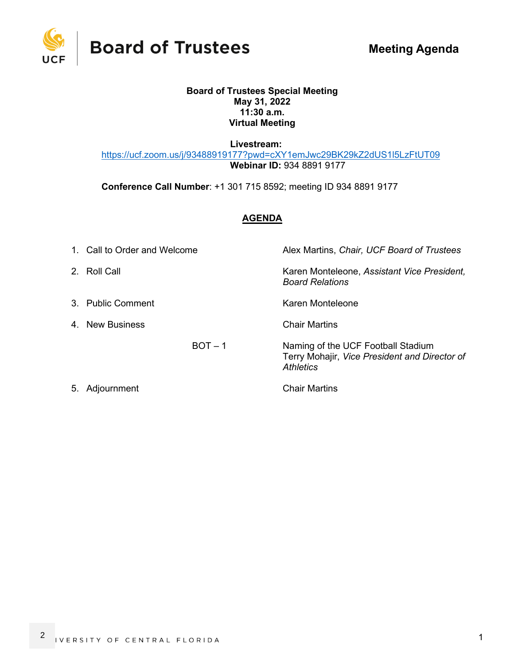<span id="page-1-0"></span>

**Board of Trustees** 

#### **Board of Trustees Special Meeting May 31, 2022 11:30 a.m. Virtual Meeting**

 **Livestream:**

<https://ucf.zoom.us/j/93488919177?pwd=cXY1emJwc29BK29kZ2dUS1l5LzFtUT09>  **Webinar ID:** 934 8891 9177

**Conference Call Number**: +1 301 715 8592; meeting ID 934 8891 9177

# **AGENDA**

| 1. Call to Order and Welcome | Alex Martins, Chair, UCF Board of Trustees                                                       |  |  |
|------------------------------|--------------------------------------------------------------------------------------------------|--|--|
| 2. Roll Call                 | Karen Monteleone, Assistant Vice President,<br><b>Board Relations</b>                            |  |  |
| 3. Public Comment            | Karen Monteleone                                                                                 |  |  |
| 4. New Business              | <b>Chair Martins</b>                                                                             |  |  |
| $BOT - 1$                    | Naming of the UCF Football Stadium<br>Terry Mohajir, Vice President and Director of<br>Athletics |  |  |
| 5. Adjournment               | <b>Chair Martins</b>                                                                             |  |  |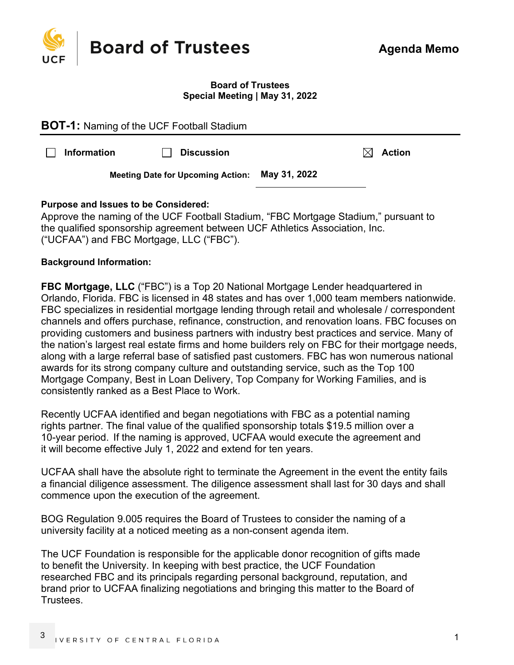<span id="page-2-0"></span>

#### **Board of Trustees Special Meeting | May 31, 2022**

| <b>BOT-1:</b> Naming of the UCF Football Stadium |                    |                                          |              |  |               |  |
|--------------------------------------------------|--------------------|------------------------------------------|--------------|--|---------------|--|
|                                                  | <b>Information</b> | <b>Discussion</b>                        |              |  | <b>Action</b> |  |
|                                                  |                    | <b>Meeting Date for Upcoming Action:</b> | May 31, 2022 |  |               |  |
|                                                  |                    |                                          |              |  |               |  |

# **Purpose and Issues to be Considered:**

Approve the naming of the UCF Football Stadium, "FBC Mortgage Stadium," pursuant to the qualified sponsorship agreement between UCF Athletics Association, Inc. ("UCFAA") and FBC Mortgage, LLC ("FBC").

## **Background Information:**

**FBC Mortgage, LLC** ("FBC") is a Top 20 National Mortgage Lender headquartered in Orlando, Florida. FBC is licensed in 48 states and has over 1,000 team members nationwide. FBC specializes in residential mortgage lending through retail and wholesale / correspondent channels and offers purchase, refinance, construction, and renovation loans. FBC focuses on providing customers and business partners with industry best practices and service. Many of the nation's largest real estate firms and home builders rely on FBC for their mortgage needs, along with a large referral base of satisfied past customers. FBC has won numerous national awards for its strong company culture and outstanding service, such as the Top 100 Mortgage Company, Best in Loan Delivery, Top Company for Working Families, and is consistently ranked as a Best Place to Work.

Recently UCFAA identified and began negotiations with FBC as a potential naming rights partner. The final value of the qualified sponsorship totals \$19.5 million over a 10-year period. If the naming is approved, UCFAA would execute the agreement and it will become effective July 1, 2022 and extend for ten years.

UCFAA shall have the absolute right to terminate the Agreement in the event the entity fails a financial diligence assessment. The diligence assessment shall last for 30 days and shall commence upon the execution of the agreement.

BOG Regulation 9.005 requires the Board of Trustees to consider the naming of a university facility at a noticed meeting as a non-consent agenda item.

The UCF Foundation is responsible for the applicable donor recognition of gifts made to benefit the University. In keeping with best practice, the UCF Foundation researched FBC and its principals regarding personal background, reputation, and brand prior to UCFAA finalizing negotiations and bringing this matter to the Board of Trustees.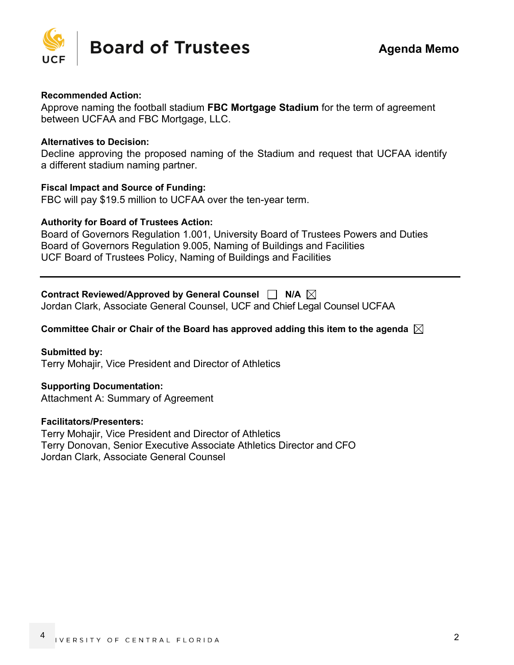

#### **Recommended Action:**

Approve naming the football stadium **FBC Mortgage Stadium** for the term of agreement between UCFAA and FBC Mortgage, LLC.

#### **Alternatives to Decision:**

Decline approving the proposed naming of the Stadium and request that UCFAA identify a different stadium naming partner.

#### **Fiscal Impact and Source of Funding:**

FBC will pay \$19.5 million to UCFAA over the ten-year term.

#### **Authority for Board of Trustees Action:**

Board of Governors Regulation 1.001, University Board of Trustees Powers and Duties Board of Governors Regulation 9.005, Naming of Buildings and Facilities UCF Board of Trustees Policy, Naming of Buildings and Facilities

# Contract Reviewed/Approved by General Counsel □ N/A  $\boxtimes$

Jordan Clark, Associate General Counsel, UCF and Chief Legal Counsel UCFAA

## **Committee Chair or Chair of the Board has approved adding this item to the agenda**

**Submitted by:**  Terry Mohajir, Vice President and Director of Athletics

## **Supporting Documentation:**

Attachment A: Summary of Agreement

#### **Facilitators/Presenters:**

Terry Mohajir, Vice President and Director of Athletics Terry Donovan, Senior Executive Associate Athletics Director and CFO Jordan Clark, Associate General Counsel